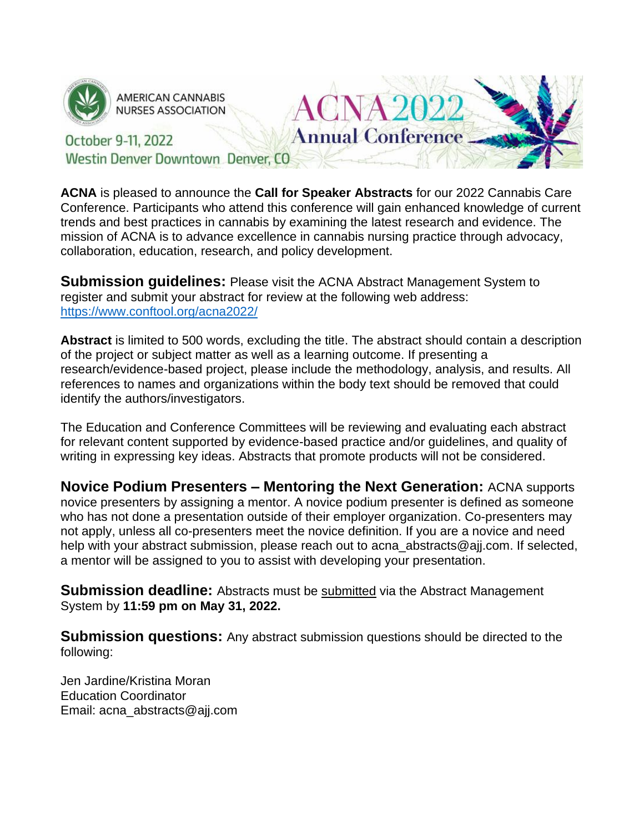

**AMERICAN CANNABIS NURSES ASSOCIATION** 

#### **Annual Conference** October 9-11, 2022 Westin Denver Downtown Denver, CO

**ACNA** is pleased to announce the **Call for Speaker Abstracts** for our 2022 Cannabis Care Conference. Participants who attend this conference will gain enhanced knowledge of current trends and best practices in cannabis by examining the latest research and evidence. The mission of ACNA is to advance excellence in cannabis nursing practice through advocacy, collaboration, education, research, and policy development.

VA 21

**Submission guidelines:** Please visit the ACNA Abstract Management System to register and submit your abstract for review at the following web address: <https://www.conftool.org/acna2022/>

**Abstract** is limited to 500 words, excluding the title. The abstract should contain a description of the project or subject matter as well as a learning outcome. If presenting a research/evidence-based project, please include the methodology, analysis, and results. All references to names and organizations within the body text should be removed that could identify the authors/investigators.

The Education and Conference Committees will be reviewing and evaluating each abstract for relevant content supported by evidence-based practice and/or guidelines, and quality of writing in expressing key ideas. Abstracts that promote products will not be considered.

**Novice Podium Presenters – Mentoring the Next Generation:** ACNA supports novice presenters by assigning a mentor. A novice podium presenter is defined as someone who has not done a presentation outside of their employer organization. Co-presenters may not apply, unless all co-presenters meet the novice definition. If you are a novice and need help with your abstract submission, please reach out to acna abstracts@ajj.com. If selected, a mentor will be assigned to you to assist with developing your presentation.

**Submission deadline:** Abstracts must be **submitted** via the Abstract Management System by **11:59 pm on May 31, 2022.**

**Submission questions:** Any abstract submission questions should be directed to the following:

Jen Jardine/Kristina Moran Education Coordinator Email: acna\_abstracts@ajj.com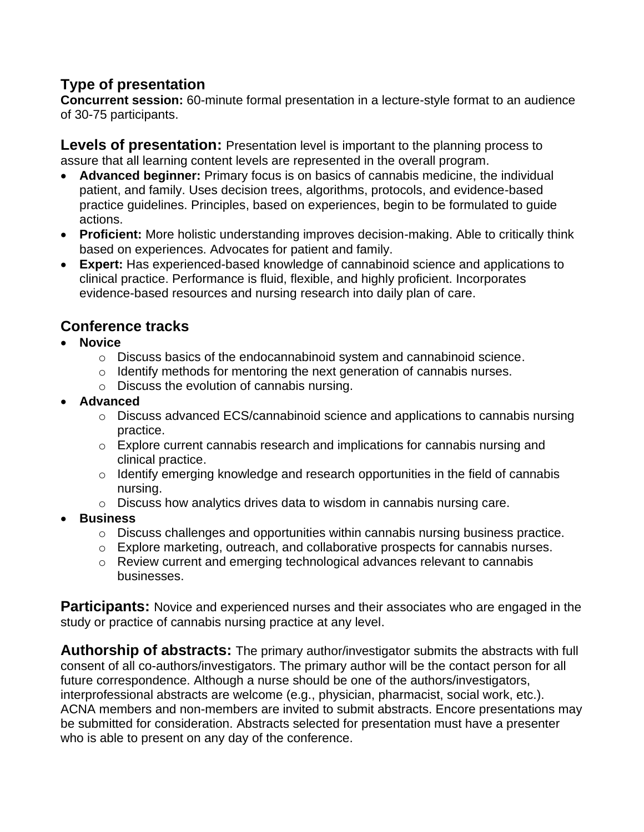# **Type of presentation**

**Concurrent session:** 60-minute formal presentation in a lecture-style format to an audience of 30-75 participants.

**Levels of presentation:** Presentation level is important to the planning process to assure that all learning content levels are represented in the overall program.

- **Advanced beginner:** Primary focus is on basics of cannabis medicine, the individual patient, and family. Uses decision trees, algorithms, protocols, and evidence-based practice guidelines. Principles, based on experiences, begin to be formulated to guide actions.
- **Proficient:** More holistic understanding improves decision-making. Able to critically think based on experiences. Advocates for patient and family.
- **Expert:** Has experienced-based knowledge of cannabinoid science and applications to clinical practice. Performance is fluid, flexible, and highly proficient. Incorporates evidence-based resources and nursing research into daily plan of care.

# **Conference tracks**

- **Novice**
	- o Discuss basics of the endocannabinoid system and cannabinoid science.
	- o Identify methods for mentoring the next generation of cannabis nurses.
	- o Discuss the evolution of cannabis nursing.
- **Advanced**
	- o Discuss advanced ECS/cannabinoid science and applications to cannabis nursing practice.
	- o Explore current cannabis research and implications for cannabis nursing and clinical practice.
	- o Identify emerging knowledge and research opportunities in the field of cannabis nursing.
	- o Discuss how analytics drives data to wisdom in cannabis nursing care.
- **Business**
	- o Discuss challenges and opportunities within cannabis nursing business practice.
	- o Explore marketing, outreach, and collaborative prospects for cannabis nurses.
	- o Review current and emerging technological advances relevant to cannabis businesses.

**Participants:** Novice and experienced nurses and their associates who are engaged in the study or practice of cannabis nursing practice at any level.

**Authorship of abstracts:** The primary author/investigator submits the abstracts with full consent of all co-authors/investigators. The primary author will be the contact person for all future correspondence. Although a nurse should be one of the authors/investigators, interprofessional abstracts are welcome (e.g., physician, pharmacist, social work, etc.). ACNA members and non-members are invited to submit abstracts. Encore presentations may be submitted for consideration. Abstracts selected for presentation must have a presenter who is able to present on any day of the conference.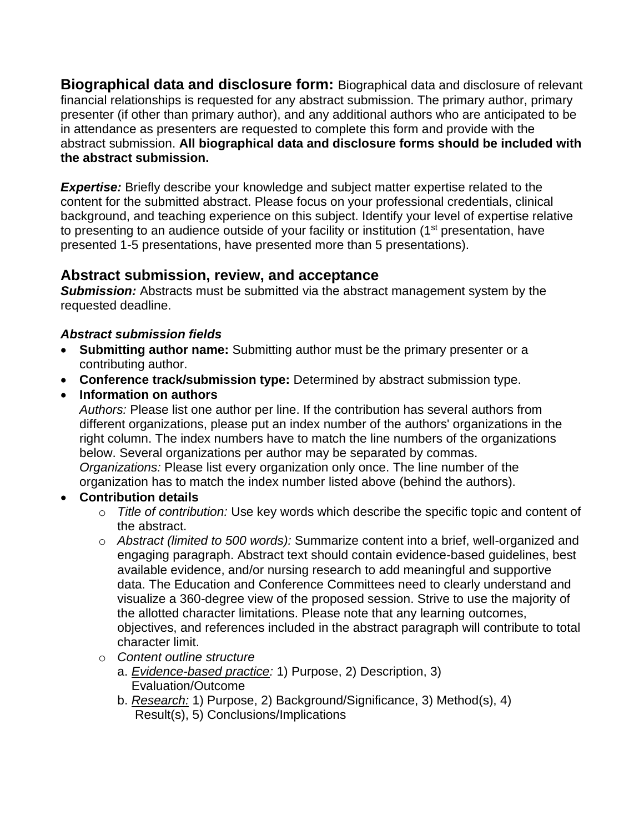**Biographical data and disclosure form:** Biographical data and disclosure of relevant financial relationships is requested for any abstract submission. The primary author, primary presenter (if other than primary author), and any additional authors who are anticipated to be in attendance as presenters are requested to complete this form and provide with the abstract submission. **All biographical data and disclosure forms should be included with the abstract submission.** 

**Expertise:** Briefly describe your knowledge and subject matter expertise related to the content for the submitted abstract. Please focus on your professional credentials, clinical background, and teaching experience on this subject. Identify your level of expertise relative to presenting to an audience outside of your facility or institution (1<sup>st</sup> presentation, have presented 1-5 presentations, have presented more than 5 presentations).

## **Abstract submission, review, and acceptance**

**Submission:** Abstracts must be submitted via the abstract management system by the requested deadline.

### *Abstract submission fields*

- **Submitting author name:** Submitting author must be the primary presenter or a contributing author.
- **Conference track/submission type:** Determined by abstract submission type.
- **Information on authors**

*Authors:* Please list one author per line. If the contribution has several authors from different organizations, please put an index number of the authors' organizations in the right column. The index numbers have to match the line numbers of the organizations below. Several organizations per author may be separated by commas. *Organizations:* Please list every organization only once. The line number of the organization has to match the index number listed above (behind the authors).

### • **Contribution details**

- o *Title of contribution:* Use key words which describe the specific topic and content of the abstract.
- o *Abstract (limited to 500 words):* Summarize content into a brief, well-organized and engaging paragraph. Abstract text should contain evidence-based guidelines, best available evidence, and/or nursing research to add meaningful and supportive data. The Education and Conference Committees need to clearly understand and visualize a 360-degree view of the proposed session. Strive to use the majority of the allotted character limitations. Please note that any learning outcomes, objectives, and references included in the abstract paragraph will contribute to total character limit.
- o *Content outline structure*
	- a. *Evidence-based practice:* 1) Purpose, 2) Description, 3) Evaluation/Outcome
	- b. *Research:* 1) Purpose, 2) Background/Significance, 3) Method(s), 4) Result(s), 5) Conclusions/Implications